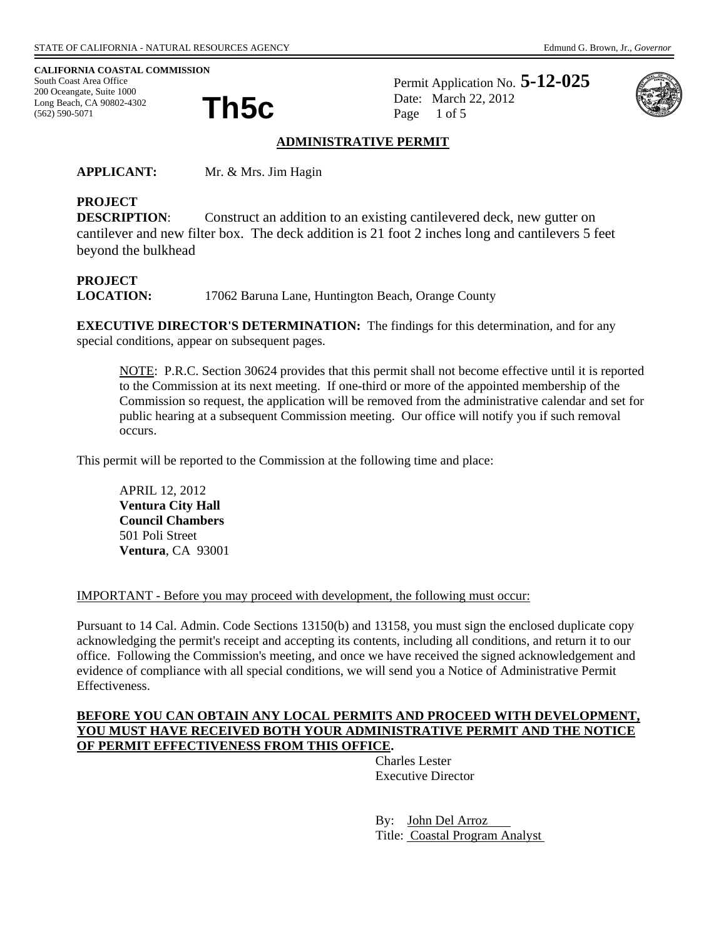**CALIFORNIA COASTAL COMMISSION**  South Coast Area Office 200 Oceangate, Suite 1000<br>Long Beach, CA 90802-4302<br>(562) 590-5071 Long Beach, CA 90802-4302 (562) 590-5071

Permit Application No. **5-12-025** Date: March 22, 2012 Page 1 of 5



### **ADMINISTRATIVE PERMIT**

**APPLICANT:** Mr. & Mrs. Jim Hagin

# **PROJECT**

**DESCRIPTION:** Construct an addition to an existing cantilevered deck, new gutter on cantilever and new filter box. The deck addition is 21 foot 2 inches long and cantilevers 5 feet beyond the bulkhead

## **PROJECT**

**LOCATION:** 17062 Baruna Lane, Huntington Beach, Orange County

**EXECUTIVE DIRECTOR'S DETERMINATION:** The findings for this determination, and for any special conditions, appear on subsequent pages.

NOTE: P.R.C. Section 30624 provides that this permit shall not become effective until it is reported to the Commission at its next meeting. If one-third or more of the appointed membership of the Commission so request, the application will be removed from the administrative calendar and set for public hearing at a subsequent Commission meeting. Our office will notify you if such removal occurs.

This permit will be reported to the Commission at the following time and place:

APRIL 12, 2012 **Ventura City Hall Council Chambers** 501 Poli Street **Ventura**, CA 93001

IMPORTANT - Before you may proceed with development, the following must occur:

Pursuant to 14 Cal. Admin. Code Sections 13150(b) and 13158, you must sign the enclosed duplicate copy acknowledging the permit's receipt and accepting its contents, including all conditions, and return it to our office. Following the Commission's meeting, and once we have received the signed acknowledgement and evidence of compliance with all special conditions, we will send you a Notice of Administrative Permit Effectiveness.

#### **BEFORE YOU CAN OBTAIN ANY LOCAL PERMITS AND PROCEED WITH DEVELOPMENT, YOU MUST HAVE RECEIVED BOTH YOUR ADMINISTRATIVE PERMIT AND THE NOTICE OF PERMIT EFFECTIVENESS FROM THIS OFFICE.**

 Charles Lester Executive Director

 By: John Del Arroz Title: Coastal Program Analyst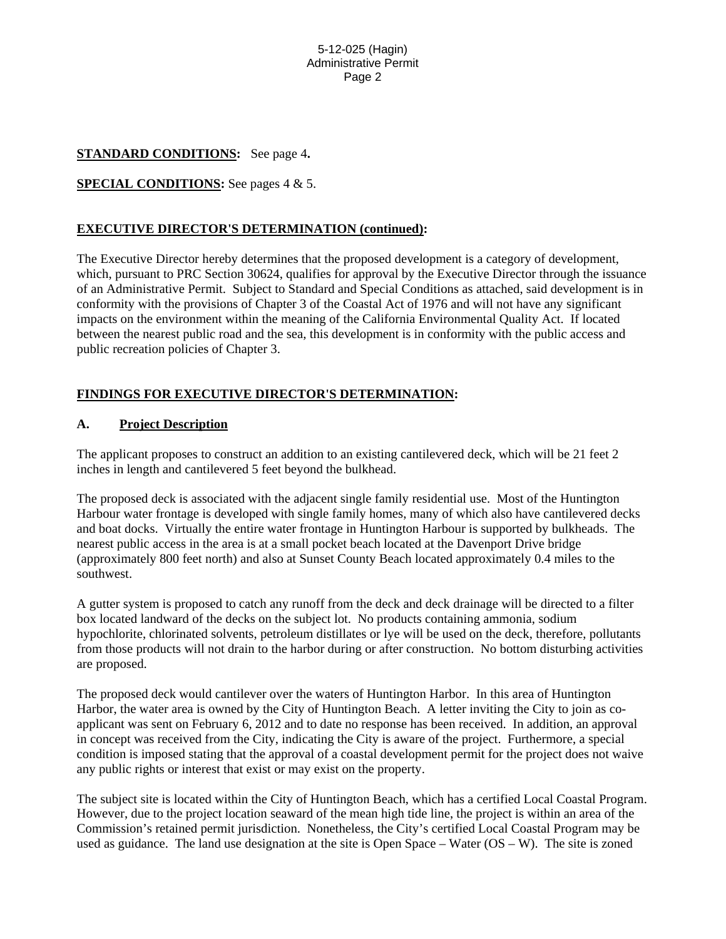#### 5-12-025 (Hagin) Administrative Permit Page 2

#### **STANDARD CONDITIONS:** See page 4**.**

#### **SPECIAL CONDITIONS:** See pages 4 & 5.

### **EXECUTIVE DIRECTOR'S DETERMINATION (continued):**

The Executive Director hereby determines that the proposed development is a category of development, which, pursuant to PRC Section 30624, qualifies for approval by the Executive Director through the issuance of an Administrative Permit. Subject to Standard and Special Conditions as attached, said development is in conformity with the provisions of Chapter 3 of the Coastal Act of 1976 and will not have any significant impacts on the environment within the meaning of the California Environmental Quality Act. If located between the nearest public road and the sea, this development is in conformity with the public access and public recreation policies of Chapter 3.

### **FINDINGS FOR EXECUTIVE DIRECTOR'S DETERMINATION:**

#### **A. Project Description**

The applicant proposes to construct an addition to an existing cantilevered deck, which will be 21 feet 2 inches in length and cantilevered 5 feet beyond the bulkhead.

The proposed deck is associated with the adjacent single family residential use. Most of the Huntington Harbour water frontage is developed with single family homes, many of which also have cantilevered decks and boat docks. Virtually the entire water frontage in Huntington Harbour is supported by bulkheads. The nearest public access in the area is at a small pocket beach located at the Davenport Drive bridge (approximately 800 feet north) and also at Sunset County Beach located approximately 0.4 miles to the southwest.

A gutter system is proposed to catch any runoff from the deck and deck drainage will be directed to a filter box located landward of the decks on the subject lot. No products containing ammonia, sodium hypochlorite, chlorinated solvents, petroleum distillates or lye will be used on the deck, therefore, pollutants from those products will not drain to the harbor during or after construction. No bottom disturbing activities are proposed.

The proposed deck would cantilever over the waters of Huntington Harbor. In this area of Huntington Harbor, the water area is owned by the City of Huntington Beach. A letter inviting the City to join as coapplicant was sent on February 6, 2012 and to date no response has been received. In addition, an approval in concept was received from the City, indicating the City is aware of the project. Furthermore, a special condition is imposed stating that the approval of a coastal development permit for the project does not waive any public rights or interest that exist or may exist on the property.

The subject site is located within the City of Huntington Beach, which has a certified Local Coastal Program. However, due to the project location seaward of the mean high tide line, the project is within an area of the Commission's retained permit jurisdiction. Nonetheless, the City's certified Local Coastal Program may be used as guidance. The land use designation at the site is Open Space – Water (OS – W). The site is zoned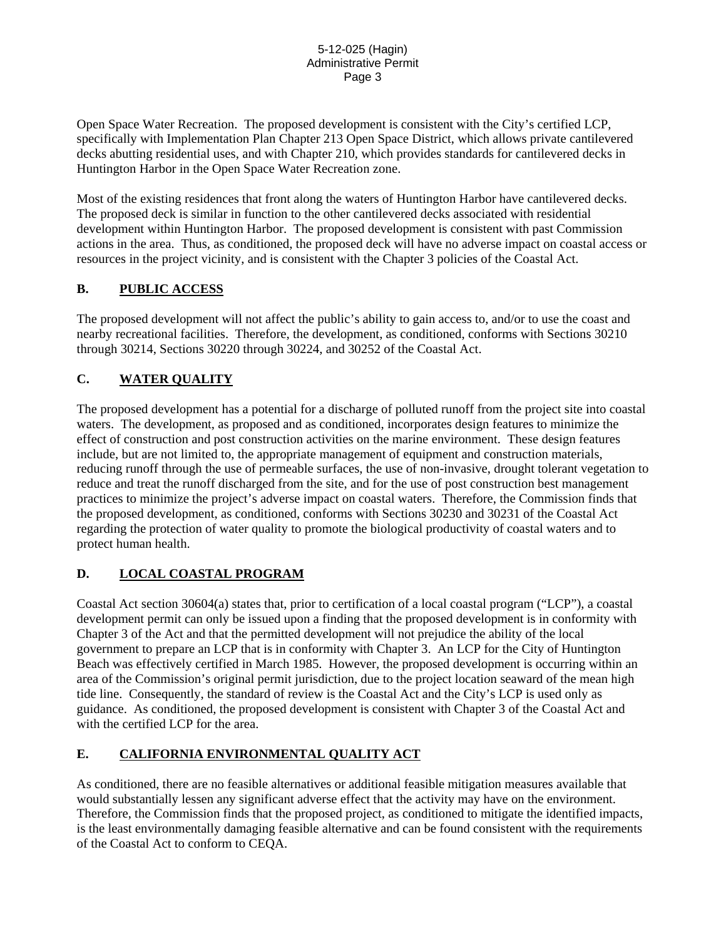Open Space Water Recreation. The proposed development is consistent with the City's certified LCP, specifically with Implementation Plan Chapter 213 Open Space District, which allows private cantilevered decks abutting residential uses, and with Chapter 210, which provides standards for cantilevered decks in Huntington Harbor in the Open Space Water Recreation zone.

Most of the existing residences that front along the waters of Huntington Harbor have cantilevered decks. The proposed deck is similar in function to the other cantilevered decks associated with residential development within Huntington Harbor. The proposed development is consistent with past Commission actions in the area. Thus, as conditioned, the proposed deck will have no adverse impact on coastal access or resources in the project vicinity, and is consistent with the Chapter 3 policies of the Coastal Act.

### **B. PUBLIC ACCESS**

The proposed development will not affect the public's ability to gain access to, and/or to use the coast and nearby recreational facilities. Therefore, the development, as conditioned, conforms with Sections 30210 through 30214, Sections 30220 through 30224, and 30252 of the Coastal Act.

## **C. WATER QUALITY**

The proposed development has a potential for a discharge of polluted runoff from the project site into coastal waters. The development, as proposed and as conditioned, incorporates design features to minimize the effect of construction and post construction activities on the marine environment. These design features include, but are not limited to, the appropriate management of equipment and construction materials, reducing runoff through the use of permeable surfaces, the use of non-invasive, drought tolerant vegetation to reduce and treat the runoff discharged from the site, and for the use of post construction best management practices to minimize the project's adverse impact on coastal waters. Therefore, the Commission finds that the proposed development, as conditioned, conforms with Sections 30230 and 30231 of the Coastal Act regarding the protection of water quality to promote the biological productivity of coastal waters and to protect human health.

## **D. LOCAL COASTAL PROGRAM**

Coastal Act section 30604(a) states that, prior to certification of a local coastal program ("LCP"), a coastal development permit can only be issued upon a finding that the proposed development is in conformity with Chapter 3 of the Act and that the permitted development will not prejudice the ability of the local government to prepare an LCP that is in conformity with Chapter 3. An LCP for the City of Huntington Beach was effectively certified in March 1985. However, the proposed development is occurring within an area of the Commission's original permit jurisdiction, due to the project location seaward of the mean high tide line. Consequently, the standard of review is the Coastal Act and the City's LCP is used only as guidance. As conditioned, the proposed development is consistent with Chapter 3 of the Coastal Act and with the certified LCP for the area.

## **E. CALIFORNIA ENVIRONMENTAL QUALITY ACT**

As conditioned, there are no feasible alternatives or additional feasible mitigation measures available that would substantially lessen any significant adverse effect that the activity may have on the environment. Therefore, the Commission finds that the proposed project, as conditioned to mitigate the identified impacts, is the least environmentally damaging feasible alternative and can be found consistent with the requirements of the Coastal Act to conform to CEQA.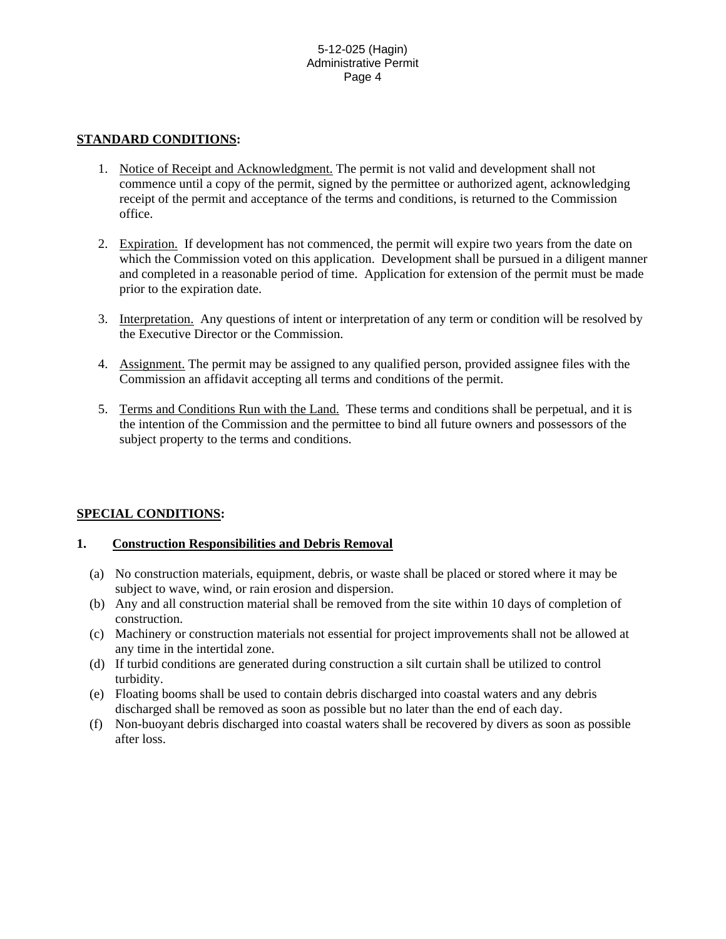### **STANDARD CONDITIONS:**

- 1. Notice of Receipt and Acknowledgment. The permit is not valid and development shall not commence until a copy of the permit, signed by the permittee or authorized agent, acknowledging receipt of the permit and acceptance of the terms and conditions, is returned to the Commission office.
- 2. Expiration. If development has not commenced, the permit will expire two years from the date on which the Commission voted on this application. Development shall be pursued in a diligent manner and completed in a reasonable period of time. Application for extension of the permit must be made prior to the expiration date.
- 3. Interpretation. Any questions of intent or interpretation of any term or condition will be resolved by the Executive Director or the Commission.
- 4. Assignment. The permit may be assigned to any qualified person, provided assignee files with the Commission an affidavit accepting all terms and conditions of the permit.
- 5. Terms and Conditions Run with the Land. These terms and conditions shall be perpetual, and it is the intention of the Commission and the permittee to bind all future owners and possessors of the subject property to the terms and conditions.

## **SPECIAL CONDITIONS:**

### **1. Construction Responsibilities and Debris Removal**

- (a) No construction materials, equipment, debris, or waste shall be placed or stored where it may be subject to wave, wind, or rain erosion and dispersion.
- (b) Any and all construction material shall be removed from the site within 10 days of completion of construction.
- (c) Machinery or construction materials not essential for project improvements shall not be allowed at any time in the intertidal zone.
- (d) If turbid conditions are generated during construction a silt curtain shall be utilized to control turbidity.
- (e) Floating booms shall be used to contain debris discharged into coastal waters and any debris discharged shall be removed as soon as possible but no later than the end of each day.
- (f) Non-buoyant debris discharged into coastal waters shall be recovered by divers as soon as possible after loss.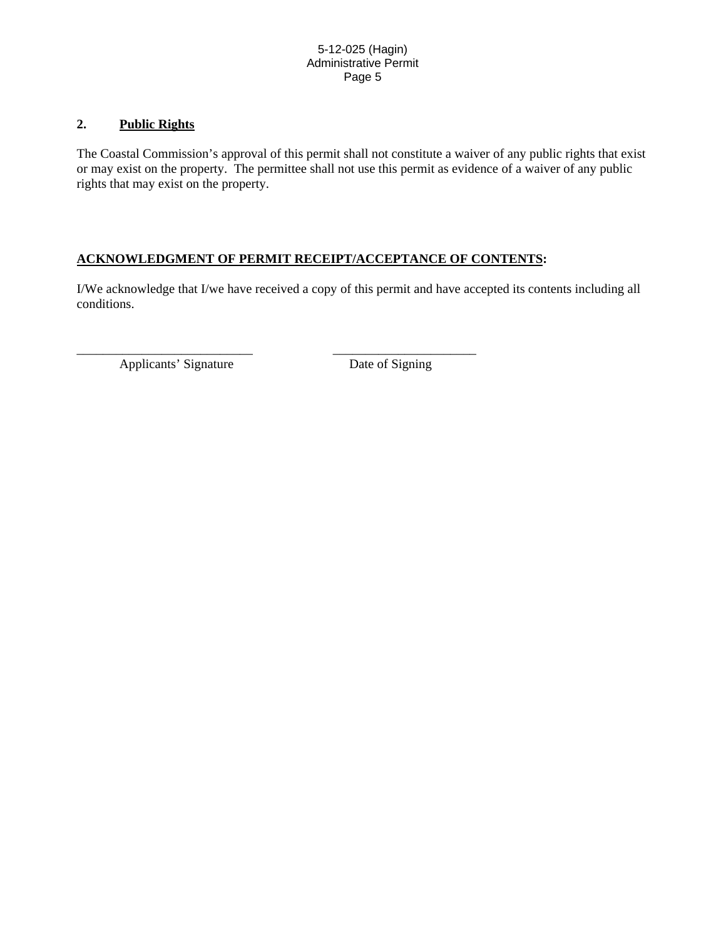### **2. Public Rights**

The Coastal Commission's approval of this permit shall not constitute a waiver of any public rights that exist or may exist on the property. The permittee shall not use this permit as evidence of a waiver of any public rights that may exist on the property.

### **ACKNOWLEDGMENT OF PERMIT RECEIPT/ACCEPTANCE OF CONTENTS:**

\_\_\_\_\_\_\_\_\_\_\_\_\_\_\_\_\_\_\_\_\_\_\_\_\_\_\_ \_\_\_\_\_\_\_\_\_\_\_\_\_\_\_\_\_\_\_\_\_\_

I/We acknowledge that I/we have received a copy of this permit and have accepted its contents including all conditions.

Applicants' Signature Date of Signing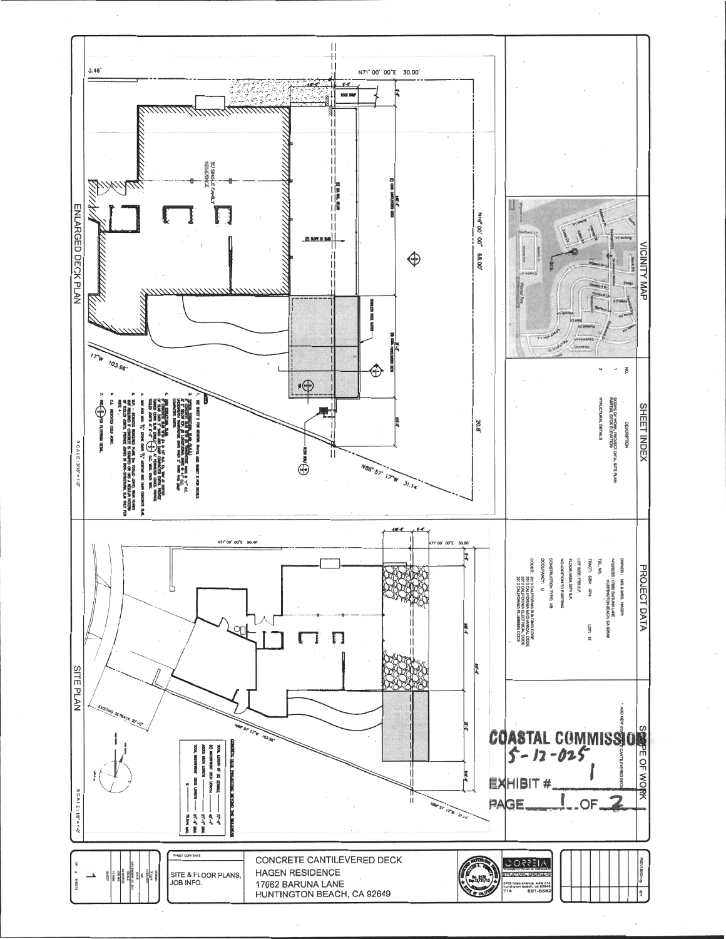